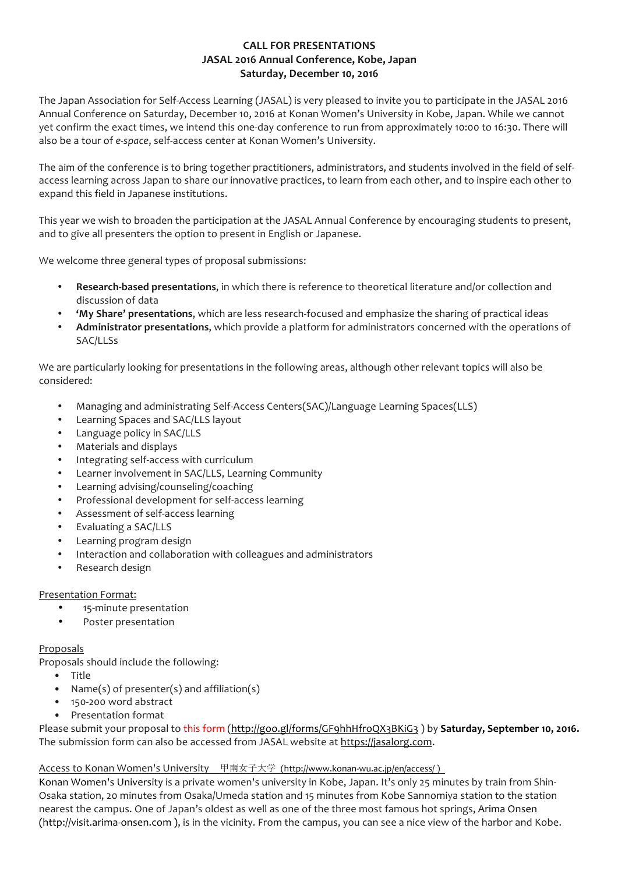# **CALL FOR PRESENTATIONS JASAL 2016 Annual Conference, Kobe, Japan Saturday, December 10, 2016**

The Japan Association for Self-Access Learning (JASAL) is very pleased to invite you to participate in the JASAL 2016 Annual Conference on Saturday, December 10, 2016 at Konan Women's University in Kobe, Japan. While we cannot yet confirm the exact times, we intend this one-day conference to run from approximately 10:00 to 16:30. There will also be a tour of *e-space*, self-access center at Konan Women's University.

The aim of the conference is to bring together practitioners, administrators, and students involved in the field of selfaccess learning across Japan to share our innovative practices, to learn from each other, and to inspire each other to expand this field in Japanese institutions.

This year we wish to broaden the participation at the JASAL Annual Conference by encouraging students to present, and to give all presenters the option to present in English or Japanese.

We welcome three general types of proposal submissions:

- **Research-based presentations**, in which there is reference to theoretical literature and/or collection and discussion of data
- **'My Share' presentations**, which are less research-focused and emphasize the sharing of practical ideas
- **Administrator presentations**, which provide a platform for administrators concerned with the operations of SAC/LLSs

We are particularly looking for presentations in the following areas, although other relevant topics will also be considered:

- Managing and administrating Self-Access Centers(SAC)/Language Learning Spaces(LLS)
- Learning Spaces and SAC/LLS layout
- Language policy in SAC/LLS
- Materials and displays
- Integrating self-access with curriculum
- Learner involvement in SAC/LLS, Learning Community
- Learning advising/counseling/coaching
- Professional development for self-access learning
- Assessment of self-access learning
- Evaluating a SAC/LLS
- Learning program design
- Interaction and collaboration with colleagues and administrators
- Research design

## Presentation Format:

- 15-minute presentation
- Poster presentation

## Proposals

Proposals should include the following:

- Title
- Name(s) of presenter(s) and affiliation(s)
- 150-200 word abstract
- Presentation format

Please submit your proposal to this form (http://goo.gl/forms/GF9hhHfroQX3BKiG3 ) by **Saturday, September 10, 2016.** The submission form can also be accessed from JASAL website at https://jasalorg.com.

## Access to Konan Women's University 甲南女子大学 (http://www.konan-wu.ac.jp/en/access/)

Konan Women's University is a private women's university in Kobe, Japan. It's only 25 minutes by train from Shin-Osaka station, 20 minutes from Osaka/Umeda station and 15 minutes from Kobe Sannomiya station to the station nearest the campus. One of Japan's oldest as well as one of the three most famous hot springs, Arima Onsen (http://visit.arima-onsen.com ), is in the vicinity. From the campus, you can see a nice view of the harbor and Kobe.